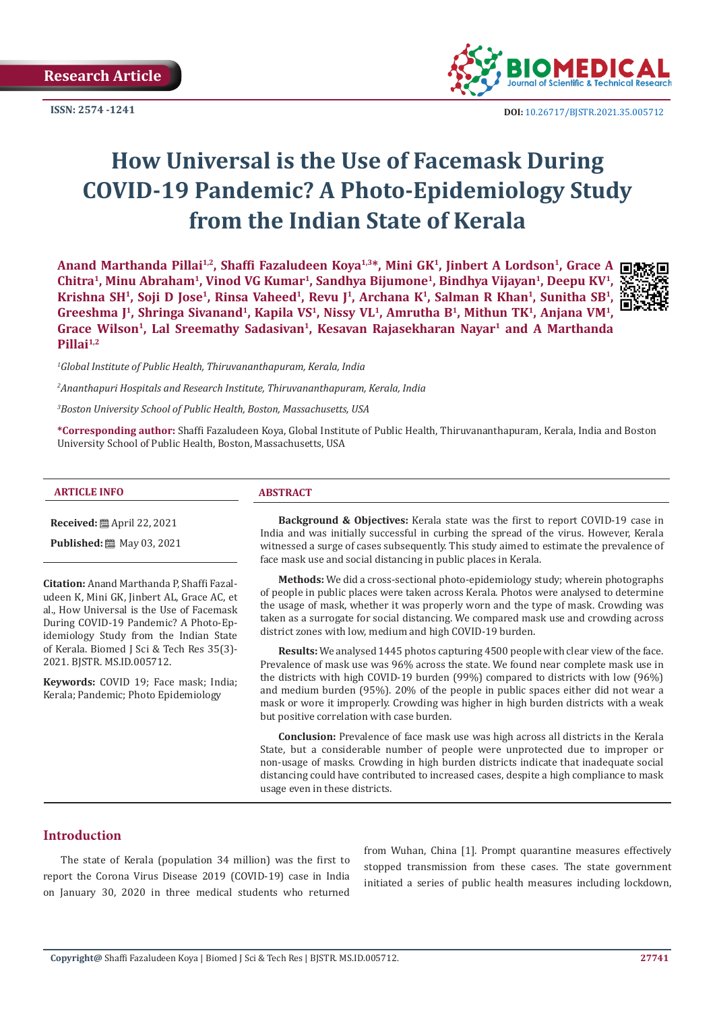**Research Article**

**ISSN: 2574 -1241**



 **DOI:** [10.26717/BJSTR.2021.35.005712](http://dx.doi.org/10.26717/BJSTR.2021.35.005712)

# **How Universal is the Use of Facemask During COVID-19 Pandemic? A Photo-Epidemiology Study from the Indian State of Kerala**

**Anand Marthanda Pillai1,2, Shaffi Fazaludeen Koya1,3\*, Mini GK1, Jinbert A Lordson1, Grace A Chitra1, Minu Abraham1, Vinod VG Kumar1, Sandhya Bijumone1, Bindhya Vijayan1, Deepu KV1,**  Krishna SH<sup>1</sup>, Soji D Jose<sup>1</sup>, Rinsa Vaheed<sup>1</sup>, Revu J<sup>1</sup>, Archana K<sup>1</sup>, Salman R Khan<sup>1</sup>, Sunitha SB<sup>1</sup> Greeshma I<sup>1</sup>, Shringa Sivanand<sup>1</sup>, Kapila VS<sup>1</sup>, Nissy VL<sup>1</sup>, Amrutha B<sup>1</sup>, Mithun TK<sup>1</sup>, Anjana VM<sup>1</sup>, Grace Wilson<sup>1</sup>, Lal Sreemathy Sadasivan<sup>1</sup>, Kesavan Rajasekharan Nayar<sup>1</sup> and A Marthanda **Pillai1,2**

*1 Global Institute of Public Health, Thiruvananthapuram, Kerala, India*

*2 Ananthapuri Hospitals and Research Institute, Thiruvananthapuram, Kerala, India* 

*3 Boston University School of Public Health, Boston, Massachusetts, USA*

**\*Corresponding author:** Shaffi Fazaludeen Koya, Global Institute of Public Health, Thiruvananthapuram, Kerala, India and Boston University School of Public Health, Boston, Massachusetts, USA

#### **ARTICLE INFO ABSTRACT**

**Received:** April 22, 2021

**Published:** 圖 May 03, 2021

**Citation:** Anand Marthanda P, Shaffi Fazaludeen K, Mini GK, Jinbert AL, Grace AC, et al., How Universal is the Use of Facemask During COVID-19 Pandemic? A Photo-Epidemiology Study from the Indian State of Kerala. Biomed J Sci & Tech Res 35(3)- 2021. BJSTR. MS.ID.005712.

**Keywords:** COVID 19; Face mask; India; Kerala; Pandemic; Photo Epidemiology

**Background & Objectives:** Kerala state was the first to report COVID-19 case in India and was initially successful in curbing the spread of the virus. However, Kerala witnessed a surge of cases subsequently. This study aimed to estimate the prevalence of face mask use and social distancing in public places in Kerala.

**Methods:** We did a cross-sectional photo-epidemiology study; wherein photographs of people in public places were taken across Kerala. Photos were analysed to determine the usage of mask, whether it was properly worn and the type of mask. Crowding was taken as a surrogate for social distancing. We compared mask use and crowding across district zones with low, medium and high COVID-19 burden.

**Results:** We analysed 1445 photos capturing 4500 people with clear view of the face. Prevalence of mask use was 96% across the state. We found near complete mask use in the districts with high COVID-19 burden (99%) compared to districts with low (96%) and medium burden (95%). 20% of the people in public spaces either did not wear a mask or wore it improperly. Crowding was higher in high burden districts with a weak but positive correlation with case burden.

**Conclusion:** Prevalence of face mask use was high across all districts in the Kerala State, but a considerable number of people were unprotected due to improper or non-usage of masks. Crowding in high burden districts indicate that inadequate social distancing could have contributed to increased cases, despite a high compliance to mask usage even in these districts.

#### **Introduction**

The state of Kerala (population 34 million) was the first to report the Corona Virus Disease 2019 (COVID-19) case in India on January 30, 2020 in three medical students who returned

from Wuhan, China [1]. Prompt quarantine measures effectively stopped transmission from these cases. The state government initiated a series of public health measures including lockdown,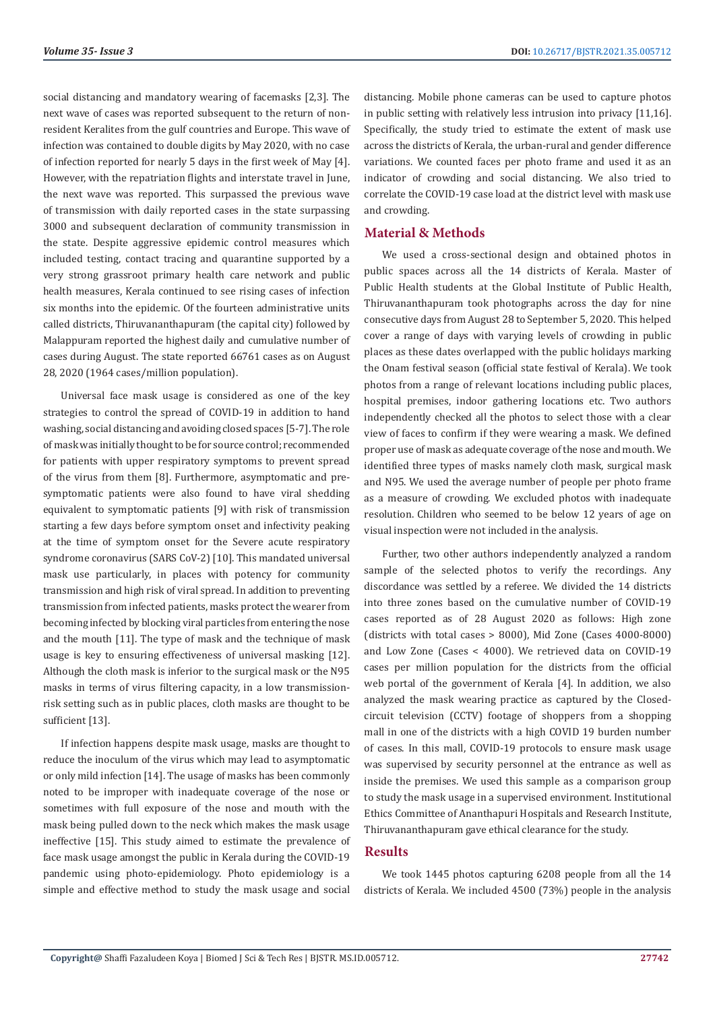social distancing and mandatory wearing of facemasks [2,3]. The next wave of cases was reported subsequent to the return of nonresident Keralites from the gulf countries and Europe. This wave of infection was contained to double digits by May 2020, with no case of infection reported for nearly 5 days in the first week of May [4]. However, with the repatriation flights and interstate travel in June, the next wave was reported. This surpassed the previous wave of transmission with daily reported cases in the state surpassing 3000 and subsequent declaration of community transmission in the state. Despite aggressive epidemic control measures which included testing, contact tracing and quarantine supported by a very strong grassroot primary health care network and public health measures, Kerala continued to see rising cases of infection six months into the epidemic. Of the fourteen administrative units called districts, Thiruvananthapuram (the capital city) followed by Malappuram reported the highest daily and cumulative number of cases during August. The state reported 66761 cases as on August 28, 2020 (1964 cases/million population).

Universal face mask usage is considered as one of the key strategies to control the spread of COVID-19 in addition to hand washing, social distancing and avoiding closed spaces [5-7]. The role of mask was initially thought to be for source control; recommended for patients with upper respiratory symptoms to prevent spread of the virus from them [8]. Furthermore, asymptomatic and presymptomatic patients were also found to have viral shedding equivalent to symptomatic patients [9] with risk of transmission starting a few days before symptom onset and infectivity peaking at the time of symptom onset for the Severe acute respiratory syndrome coronavirus (SARS CoV-2) [10]. This mandated universal mask use particularly, in places with potency for community transmission and high risk of viral spread. In addition to preventing transmission from infected patients, masks protect the wearer from becoming infected by blocking viral particles from entering the nose and the mouth [11]. The type of mask and the technique of mask usage is key to ensuring effectiveness of universal masking [12]. Although the cloth mask is inferior to the surgical mask or the N95 masks in terms of virus filtering capacity, in a low transmissionrisk setting such as in public places, cloth masks are thought to be sufficient [13].

If infection happens despite mask usage, masks are thought to reduce the inoculum of the virus which may lead to asymptomatic or only mild infection [14]. The usage of masks has been commonly noted to be improper with inadequate coverage of the nose or sometimes with full exposure of the nose and mouth with the mask being pulled down to the neck which makes the mask usage ineffective [15]. This study aimed to estimate the prevalence of face mask usage amongst the public in Kerala during the COVID-19 pandemic using photo-epidemiology. Photo epidemiology is a simple and effective method to study the mask usage and social distancing. Mobile phone cameras can be used to capture photos in public setting with relatively less intrusion into privacy [11,16]. Specifically, the study tried to estimate the extent of mask use across the districts of Kerala, the urban-rural and gender difference variations. We counted faces per photo frame and used it as an indicator of crowding and social distancing. We also tried to correlate the COVID-19 case load at the district level with mask use and crowding.

### **Material & Methods**

We used a cross-sectional design and obtained photos in public spaces across all the 14 districts of Kerala. Master of Public Health students at the Global Institute of Public Health, Thiruvananthapuram took photographs across the day for nine consecutive days from August 28 to September 5, 2020. This helped cover a range of days with varying levels of crowding in public places as these dates overlapped with the public holidays marking the Onam festival season (official state festival of Kerala). We took photos from a range of relevant locations including public places, hospital premises, indoor gathering locations etc. Two authors independently checked all the photos to select those with a clear view of faces to confirm if they were wearing a mask. We defined proper use of mask as adequate coverage of the nose and mouth. We identified three types of masks namely cloth mask, surgical mask and N95. We used the average number of people per photo frame as a measure of crowding. We excluded photos with inadequate resolution. Children who seemed to be below 12 years of age on visual inspection were not included in the analysis.

Further, two other authors independently analyzed a random sample of the selected photos to verify the recordings. Any discordance was settled by a referee. We divided the 14 districts into three zones based on the cumulative number of COVID-19 cases reported as of 28 August 2020 as follows: High zone (districts with total cases > 8000), Mid Zone (Cases 4000-8000) and Low Zone (Cases < 4000). We retrieved data on COVID-19 cases per million population for the districts from the official web portal of the government of Kerala [4]. In addition, we also analyzed the mask wearing practice as captured by the Closedcircuit television (CCTV) footage of shoppers from a shopping mall in one of the districts with a high COVID 19 burden number of cases. In this mall, COVID-19 protocols to ensure mask usage was supervised by security personnel at the entrance as well as inside the premises. We used this sample as a comparison group to study the mask usage in a supervised environment. Institutional Ethics Committee of Ananthapuri Hospitals and Research Institute, Thiruvananthapuram gave ethical clearance for the study.

### **Results**

We took 1445 photos capturing 6208 people from all the 14 districts of Kerala. We included 4500 (73%) people in the analysis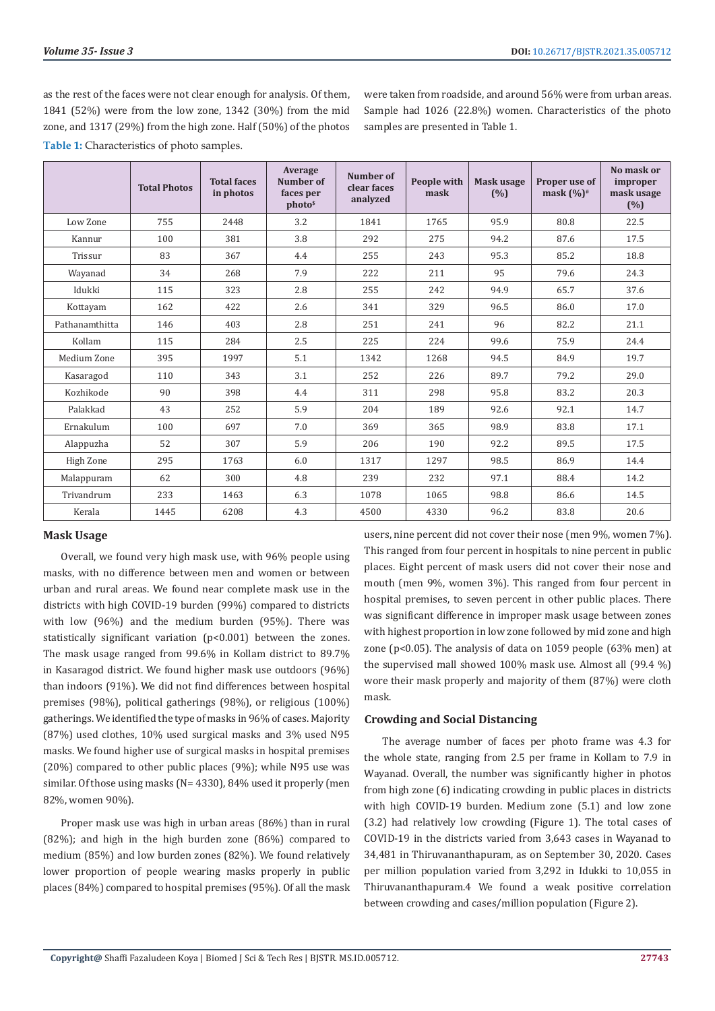were taken from roadside, and around 56% were from urban areas.

as the rest of the faces were not clear enough for analysis. Of them, 1841 (52%) were from the low zone, 1342 (30%) from the mid zone, and 1317 (29%) from the high zone. Half (50%) of the photos

**Table 1:** Characteristics of photo samples.

Sample had 1026 (22.8%) women. Characteristics of the photo samples are presented in Table 1. **Total Photos Total faces in photos Average Number of faces per photo\$ Number of clear faces analyzed People with mask Mask usage (%) Proper use of mask (%)# No mask or improper mask usage (%)**

|                |      |      | photo <sup>s</sup> | anaiyzeu |      |      |      | (% ) |
|----------------|------|------|--------------------|----------|------|------|------|------|
| Low Zone       | 755  | 2448 | 3.2                | 1841     | 1765 | 95.9 | 80.8 | 22.5 |
| Kannur         | 100  | 381  | 3.8                | 292      | 275  | 94.2 | 87.6 | 17.5 |
| Trissur        | 83   | 367  | 4.4                | 255      | 243  | 95.3 | 85.2 | 18.8 |
| Wayanad        | 34   | 268  | 7.9                | 222      | 211  | 95   | 79.6 | 24.3 |
| Idukki         | 115  | 323  | 2.8                | 255      | 242  | 94.9 | 65.7 | 37.6 |
| Kottayam       | 162  | 422  | 2.6                | 341      | 329  | 96.5 | 86.0 | 17.0 |
| Pathanamthitta | 146  | 403  | 2.8                | 251      | 241  | 96   | 82.2 | 21.1 |
| Kollam         | 115  | 284  | 2.5                | 225      | 224  | 99.6 | 75.9 | 24.4 |
| Medium Zone    | 395  | 1997 | 5.1                | 1342     | 1268 | 94.5 | 84.9 | 19.7 |
| Kasaragod      | 110  | 343  | 3.1                | 252      | 226  | 89.7 | 79.2 | 29.0 |
| Kozhikode      | 90   | 398  | 4.4                | 311      | 298  | 95.8 | 83.2 | 20.3 |
| Palakkad       | 43   | 252  | 5.9                | 204      | 189  | 92.6 | 92.1 | 14.7 |
| Ernakulum      | 100  | 697  | 7.0                | 369      | 365  | 98.9 | 83.8 | 17.1 |
| Alappuzha      | 52   | 307  | 5.9                | 206      | 190  | 92.2 | 89.5 | 17.5 |
| High Zone      | 295  | 1763 | 6.0                | 1317     | 1297 | 98.5 | 86.9 | 14.4 |
| Malappuram     | 62   | 300  | 4.8                | 239      | 232  | 97.1 | 88.4 | 14.2 |
| Trivandrum     | 233  | 1463 | 6.3                | 1078     | 1065 | 98.8 | 86.6 | 14.5 |
| Kerala         | 1445 | 6208 | 4.3                | 4500     | 4330 | 96.2 | 83.8 | 20.6 |

#### **Mask Usage**

Overall, we found very high mask use, with 96% people using masks, with no difference between men and women or between urban and rural areas. We found near complete mask use in the districts with high COVID-19 burden (99%) compared to districts with low (96%) and the medium burden (95%). There was statistically significant variation (p<0.001) between the zones. The mask usage ranged from 99.6% in Kollam district to 89.7% in Kasaragod district. We found higher mask use outdoors (96%) than indoors (91%). We did not find differences between hospital premises (98%), political gatherings (98%), or religious (100%) gatherings. We identified the type of masks in 96% of cases. Majority (87%) used clothes, 10% used surgical masks and 3% used N95 masks. We found higher use of surgical masks in hospital premises (20%) compared to other public places (9%); while N95 use was similar. Of those using masks (N= 4330), 84% used it properly (men 82%, women 90%).

Proper mask use was high in urban areas (86%) than in rural (82%); and high in the high burden zone (86%) compared to medium (85%) and low burden zones (82%). We found relatively lower proportion of people wearing masks properly in public places (84%) compared to hospital premises (95%). Of all the mask users, nine percent did not cover their nose (men 9%, women 7%). This ranged from four percent in hospitals to nine percent in public places. Eight percent of mask users did not cover their nose and mouth (men 9%, women 3%). This ranged from four percent in hospital premises, to seven percent in other public places. There was significant difference in improper mask usage between zones with highest proportion in low zone followed by mid zone and high zone (p<0.05). The analysis of data on 1059 people (63% men) at the supervised mall showed 100% mask use. Almost all (99.4 %) wore their mask properly and majority of them (87%) were cloth mask.

#### **Crowding and Social Distancing**

The average number of faces per photo frame was 4.3 for the whole state, ranging from 2.5 per frame in Kollam to 7.9 in Wayanad. Overall, the number was significantly higher in photos from high zone (6) indicating crowding in public places in districts with high COVID-19 burden. Medium zone (5.1) and low zone (3.2) had relatively low crowding (Figure 1). The total cases of COVID-19 in the districts varied from 3,643 cases in Wayanad to 34,481 in Thiruvananthapuram, as on September 30, 2020. Cases per million population varied from 3,292 in Idukki to 10,055 in Thiruvananthapuram.4 We found a weak positive correlation between crowding and cases/million population (Figure 2).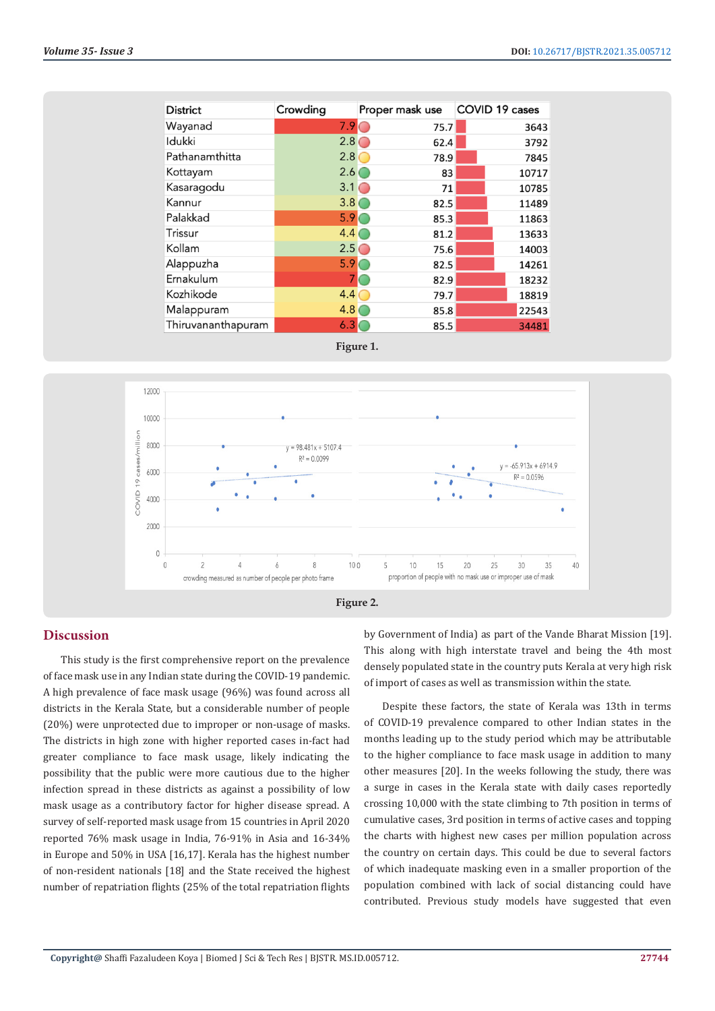| <b>District</b>    | Crowding         | Proper mask use | COVID 19 cases |
|--------------------|------------------|-----------------|----------------|
| Wayanad            | 7.9              | 75.7            | 3643           |
| Idukki             | $2.8\degree$     | 62.4            | 3792           |
| Pathanamthitta     | 2.8              | 78.9            | 7845           |
| Kottayam           | 2.6(             | 83              | 10717          |
| Kasaragodu         | $3.1\circ$       | 71              | 10785          |
| Kannur             | 3.8 <sub>0</sub> | 82.5            | 11489          |
| Palakkad           | 5.9              | 85.3            | 11863          |
| Trissur            | 4.4              | 81.2            | 13633          |
| Kollam             | $2.5\subset$     | 75.6            | 14003          |
| Alappuzha          | 5.9              | 82.5            | 14261          |
| Ernakulum          |                  | 82.9            | 18232          |
| Kozhikode          | 4.4              | 79.7            | 18819          |
| Malappuram         | 4.8              | 85.8            | 22543          |
| Thiruvananthapuram | 6.3              | 85.5            | 34481          |







#### **Discussion**

This study is the first comprehensive report on the prevalence of face mask use in any Indian state during the COVID-19 pandemic. A high prevalence of face mask usage (96%) was found across all districts in the Kerala State, but a considerable number of people (20%) were unprotected due to improper or non-usage of masks. The districts in high zone with higher reported cases in-fact had greater compliance to face mask usage, likely indicating the possibility that the public were more cautious due to the higher infection spread in these districts as against a possibility of low mask usage as a contributory factor for higher disease spread. A survey of self-reported mask usage from 15 countries in April 2020 reported 76% mask usage in India, 76-91% in Asia and 16-34% in Europe and 50% in USA [16,17]. Kerala has the highest number of non-resident nationals [18] and the State received the highest number of repatriation flights (25% of the total repatriation flights

by Government of India) as part of the Vande Bharat Mission [19]. This along with high interstate travel and being the 4th most densely populated state in the country puts Kerala at very high risk of import of cases as well as transmission within the state.

Despite these factors, the state of Kerala was 13th in terms of COVID-19 prevalence compared to other Indian states in the months leading up to the study period which may be attributable to the higher compliance to face mask usage in addition to many other measures [20]. In the weeks following the study, there was a surge in cases in the Kerala state with daily cases reportedly crossing 10,000 with the state climbing to 7th position in terms of cumulative cases, 3rd position in terms of active cases and topping the charts with highest new cases per million population across the country on certain days. This could be due to several factors of which inadequate masking even in a smaller proportion of the population combined with lack of social distancing could have contributed. Previous study models have suggested that even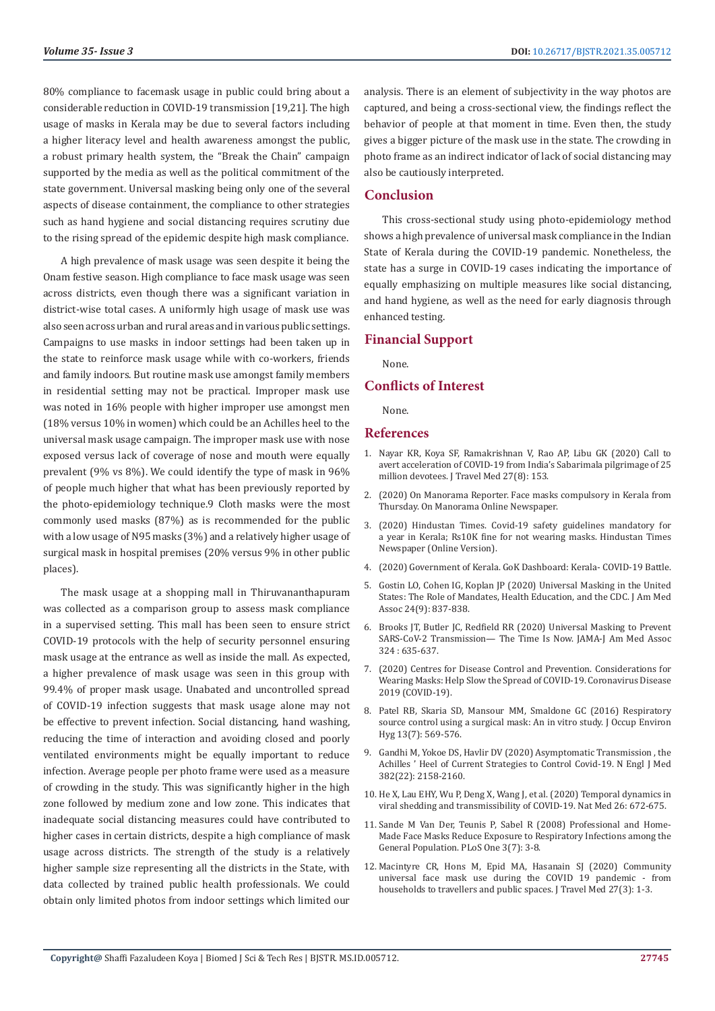80% compliance to facemask usage in public could bring about a considerable reduction in COVID-19 transmission [19,21]. The high usage of masks in Kerala may be due to several factors including a higher literacy level and health awareness amongst the public, a robust primary health system, the "Break the Chain" campaign supported by the media as well as the political commitment of the state government. Universal masking being only one of the several aspects of disease containment, the compliance to other strategies such as hand hygiene and social distancing requires scrutiny due to the rising spread of the epidemic despite high mask compliance.

A high prevalence of mask usage was seen despite it being the Onam festive season. High compliance to face mask usage was seen across districts, even though there was a significant variation in district-wise total cases. A uniformly high usage of mask use was also seen across urban and rural areas and in various public settings. Campaigns to use masks in indoor settings had been taken up in the state to reinforce mask usage while with co-workers, friends and family indoors. But routine mask use amongst family members in residential setting may not be practical. Improper mask use was noted in 16% people with higher improper use amongst men (18% versus 10% in women) which could be an Achilles heel to the universal mask usage campaign. The improper mask use with nose exposed versus lack of coverage of nose and mouth were equally prevalent (9% vs 8%). We could identify the type of mask in 96% of people much higher that what has been previously reported by the photo-epidemiology technique.9 Cloth masks were the most commonly used masks (87%) as is recommended for the public with a low usage of N95 masks (3%) and a relatively higher usage of surgical mask in hospital premises (20% versus 9% in other public places).

The mask usage at a shopping mall in Thiruvananthapuram was collected as a comparison group to assess mask compliance in a supervised setting. This mall has been seen to ensure strict COVID-19 protocols with the help of security personnel ensuring mask usage at the entrance as well as inside the mall. As expected, a higher prevalence of mask usage was seen in this group with 99.4% of proper mask usage. Unabated and uncontrolled spread of COVID-19 infection suggests that mask usage alone may not be effective to prevent infection. Social distancing, hand washing, reducing the time of interaction and avoiding closed and poorly ventilated environments might be equally important to reduce infection. Average people per photo frame were used as a measure of crowding in the study. This was significantly higher in the high zone followed by medium zone and low zone. This indicates that inadequate social distancing measures could have contributed to higher cases in certain districts, despite a high compliance of mask usage across districts. The strength of the study is a relatively higher sample size representing all the districts in the State, with data collected by trained public health professionals. We could obtain only limited photos from indoor settings which limited our

analysis. There is an element of subjectivity in the way photos are captured, and being a cross-sectional view, the findings reflect the behavior of people at that moment in time. Even then, the study gives a bigger picture of the mask use in the state. The crowding in photo frame as an indirect indicator of lack of social distancing may also be cautiously interpreted.

#### **Conclusion**

This cross-sectional study using photo-epidemiology method shows a high prevalence of universal mask compliance in the Indian State of Kerala during the COVID-19 pandemic. Nonetheless, the state has a surge in COVID-19 cases indicating the importance of equally emphasizing on multiple measures like social distancing, and hand hygiene, as well as the need for early diagnosis through enhanced testing.

#### **Financial Support**

None.

### **Conflicts of Interest**

None.

#### **References**

- 1. Nayar KR, Koya SF, Ramakrishnan V, Rao AP, Libu GK (2020) Call to avert acceleration of COVID-19 from India's Sabarimala pilgrimage of 25 million devotees. J Travel Med 27(8): 153.
- 2. [\(2020\) On Manorama Reporter. Face masks compulsory in Kerala from](https://www.onmanorama.com/news/kerala/2020/04/29/face-masks-compulsory-in-kerala-from-thursday.html) [Thursday. On Manorama Online Newspaper.](https://www.onmanorama.com/news/kerala/2020/04/29/face-masks-compulsory-in-kerala-from-thursday.html)
- 3. [\(2020\) Hindustan Times. Covid-19 safety guidelines mandatory for](https://www.hindustantimes.com/india-news/kerala-makes-following-covid-19-guidelines-mandatory-for-a-year/story-Jd0qeqO7KsargqPeUKPvTO.html.) [a year in Kerala; Rs10K fine for not wearing masks. Hindustan Times](https://www.hindustantimes.com/india-news/kerala-makes-following-covid-19-guidelines-mandatory-for-a-year/story-Jd0qeqO7KsargqPeUKPvTO.html.) [Newspaper \(Online Version\).](https://www.hindustantimes.com/india-news/kerala-makes-following-covid-19-guidelines-mandatory-for-a-year/story-Jd0qeqO7KsargqPeUKPvTO.html.)
- 4. [\(2020\) Government of Kerala. GoK Dashboard: Kerala- COVID-19 Battle.](https://dashboard.kerala.gov.in/)
- 5. [Gostin LO, Cohen IG, Koplan JP \(2020\) Universal Masking in the United](https://pubmed.ncbi.nlm.nih.gov/32790823/) [States: The Role of Mandates, Health Education, and the CDC. J Am Med](https://pubmed.ncbi.nlm.nih.gov/32790823/) [Assoc 24\(9\): 837-838.](https://pubmed.ncbi.nlm.nih.gov/32790823/)
- 6. [Brooks JT, Butler JC, Redfield RR \(2020\) Universal Masking to Prevent](https://pubmed.ncbi.nlm.nih.gov/32663243/) [SARS-CoV-2 Transmission— The Time Is Now. JAMA-J Am Med Assoc](https://pubmed.ncbi.nlm.nih.gov/32663243/) [324 : 635-637.](https://pubmed.ncbi.nlm.nih.gov/32663243/)
- 7. [\(2020\) Centres for Disease Control and Prevention. Considerations for](https://www.cdc.gov/coronavirus/2019-ncov/prevent-getting-sick/cloth-face-cover-guidance.html.) [Wearing Masks: Help Slow the Spread of COVID-19. Coronavirus Disease](https://www.cdc.gov/coronavirus/2019-ncov/prevent-getting-sick/cloth-face-cover-guidance.html.) [2019 \(COVID-19\).](https://www.cdc.gov/coronavirus/2019-ncov/prevent-getting-sick/cloth-face-cover-guidance.html.)
- 8. [Patel RB, Skaria SD, Mansour MM, Smaldone GC \(2016\) Respiratory](https://www.ncbi.nlm.nih.gov/pmc/articles/PMC4873718/) [source control using a surgical mask: An in vitro study. J Occup Environ](https://www.ncbi.nlm.nih.gov/pmc/articles/PMC4873718/) [Hyg 13\(7\): 569-576.](https://www.ncbi.nlm.nih.gov/pmc/articles/PMC4873718/)
- 9. [Gandhi M, Yokoe DS, Havlir DV \(2020\) Asymptomatic Transmission , the](https://pubmed.ncbi.nlm.nih.gov/32329972/) [Achilles ' Heel of Current Strategies to Control Covid-19. N Engl J Med](https://pubmed.ncbi.nlm.nih.gov/32329972/) [382\(22\): 2158-2160.](https://pubmed.ncbi.nlm.nih.gov/32329972/)
- 10. [He X, Lau EHY, Wu P, Deng X, Wang J, et al. \(2020\) Temporal dynamics in](https://www.nature.com/articles/s41591-020-0869-5) [viral shedding and transmissibility of COVID-19. Nat Med 26: 672-675.](https://www.nature.com/articles/s41591-020-0869-5)
- 11. [Sande M Van Der, Teunis P, Sabel R \(2008\) Professional and Home-](https://www.ncbi.nlm.nih.gov/pmc/articles/PMC2440799/)[Made Face Masks Reduce Exposure to Respiratory Infections among the](https://www.ncbi.nlm.nih.gov/pmc/articles/PMC2440799/) [General Population. PLoS One 3\(7\): 3-8.](https://www.ncbi.nlm.nih.gov/pmc/articles/PMC2440799/)
- 12. [Macintyre CR, Hons M, Epid MA, Hasanain SJ \(2020\) Community](https://pubmed.ncbi.nlm.nih.gov/32307526/) [universal face mask use during the COVID 19 pandemic - from](https://pubmed.ncbi.nlm.nih.gov/32307526/) [households to travellers and public spaces. J Travel Med 27\(3\): 1-3.](https://pubmed.ncbi.nlm.nih.gov/32307526/)